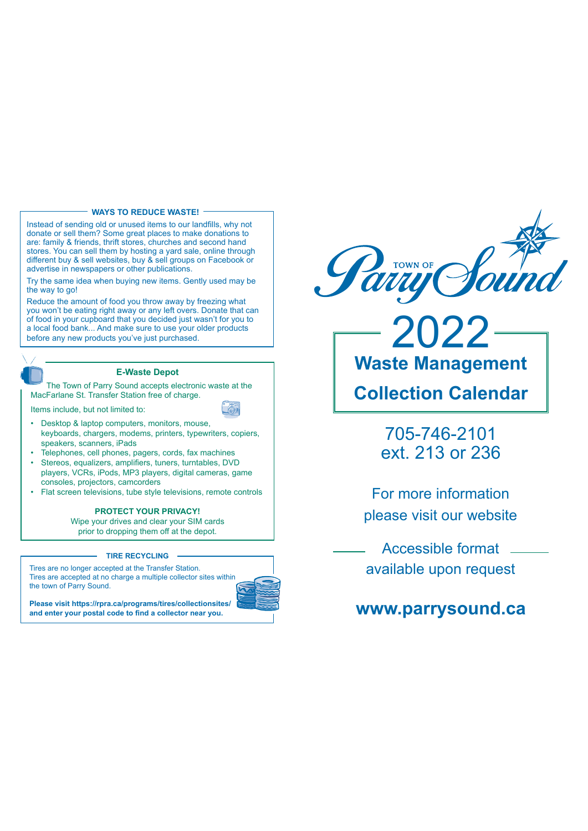# **WAYS TO REDUCE WASTE!**

Instead of sending old or unused items to our landfills, why not donate or sell them? Some great places to make donations to are: family & friends, thrift stores, churches and second hand stores. You can sell them by hosting a yard sale, online through different buy & sell websites, buy & sell groups on Facebook or advertise in newspapers or other publications.

Try the same idea when buying new items. Gently used may be the way to go!

Reduce the amount of food you throw away by freezing what you won't be eating right away or any left overs. Donate that can of food in your cupboard that you decided just wasn't for you to a local food bank... And make sure to use your older products before any new products you've just purchased.

# **E-Waste Depot**

The Town of Parry Sound accepts electronic waste at the MacFarlane St. Transfer Station free of charge.

Items include, but not limited to:

- Desktop & laptop computers, monitors, mouse, keyboards, chargers, modems, printers, typewriters, copiers, speakers, scanners, iPads
- Telephones, cell phones, pagers, cords, fax machines
- · Stereos, equalizers, amplifiers, tuners, turntables, DVD players, VCRs, iPods, MP3 players, digital cameras, game consoles, projectors, camcorders
- Flat screen televisions, tube style televisions, remote controls

# PROTECT YOUR PRIVACY!

Wipe your drives and clear your SIM cards prior to dropping them off at the depot.

#### **TIRE RECYCLING**

Tires are no longer accepted at the Transfer Station. Tires are accepted at no charge a multiple collector sites within the town of Parry Sound.



Please visit https://rpra.ca/programs/tires/collectionsites/ and enter your postal code to find a collector near you.



**Waste Management Collection Calendar** 

022

705-746-2101 ext. 213 or 236

For more information please visit our website

Accessible format available upon request

# www.parrysound.ca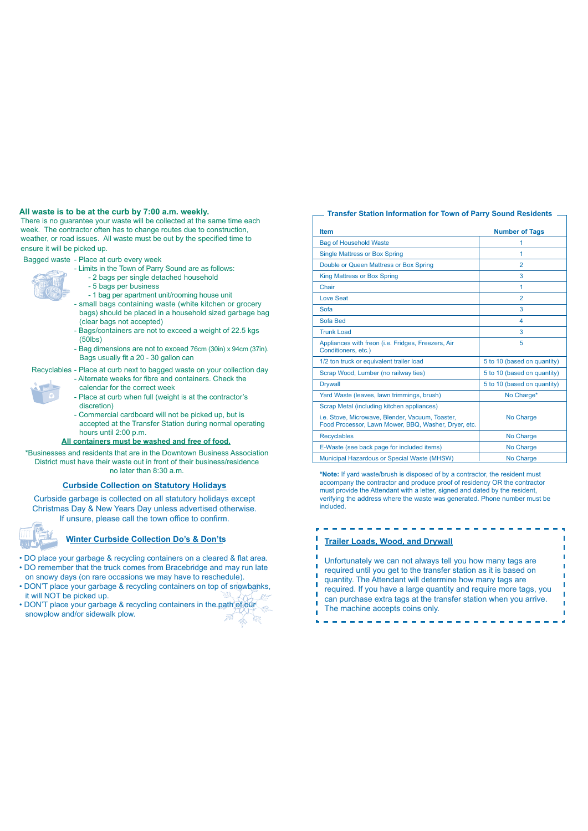## **All waste is to be at the curb by 7:00 a.m. weekly.**

There is no guarantee your waste will be collected at the same time each week. The contractor often has to change routes due to construction, weather, or road issues. All waste must be out by the specified time to ensure if will be picked up

Bagged waste - Place at curb every week

- 
- Limits in the Town of Parry Sound are as follows: - 2 bags per single detached household
	- 5 bags per business
	- 1 bag per apartment unit/rooming house unit
- small bags containing waste (white kitchen or grocery bags) should be placed in a household sized garbage bag (clear bags not accepted)
- Bags/containers are not to exceed a weight of 22.5 kgs (50lbs)
- Bag dimensions are not to exceed 76cm (30in) x 94cm (37in). Bags usually fit a 20 - 30 gallon can

# Recyclables - Place at curb next to bagged waste on your collection day

- Alternate weeks for fibre and containers. Check the calendar for the correct week
- Place at curb when full (weight is at the contractor's discretion)
- Commercial cardboard will not be picked up, but is accepted at the Transfer Station during normal operating hours until 2:00 p.m.

## **All containers must be washed and free of food.**

\*Businesses and residents that are in the Downtown Business Association District must have their waste out in front of their business/residence no later than 8:30 a.m.

# **Curbside Collection on Statutory Holidays**

Curbside garbage is collected on all statutory holidays except Christmas Day & New Years Day unless advertised otherwise. If unsure, please call the town office to confirm.



# **Winter Curbside Collection Do's & Don'ts**

- . DO place your garbage & recycling containers on a cleared & flat area. . DO remember that the truck comes from Bracebridge and may run late
- on snowy days (on rare occasions we may have to reschedule). . DON'T place your garbage & recycling containers on top of snowbanks,
- it will NOT be picked up.
- . DON'T place your garbage & recycling containers in the path of our snowplow and/or sidewalk plow.

# **Transfer Station Information for Town of Parry Sound Residents**

| <b>Item</b>                                                                                              | <b>Number of Tags</b>       |
|----------------------------------------------------------------------------------------------------------|-----------------------------|
| <b>Bag of Household Waste</b>                                                                            | 1                           |
| <b>Single Mattress or Box Spring</b>                                                                     | 1                           |
| Double or Queen Mattress or Box Spring                                                                   | $\overline{2}$              |
| <b>King Mattress or Box Spring</b>                                                                       | 3                           |
| Chair                                                                                                    | 1                           |
| <b>Love Seat</b>                                                                                         | $\overline{2}$              |
| Sofa                                                                                                     | 3                           |
| Sofa Bed                                                                                                 | 4                           |
| <b>Trunk Load</b>                                                                                        | 3                           |
| Appliances with freon (i.e. Fridges, Freezers, Air<br>Conditioners, etc.)                                | 5                           |
| 1/2 ton truck or equivalent trailer load                                                                 | 5 to 10 (based on quantity) |
| Scrap Wood, Lumber (no railway ties)                                                                     | 5 to 10 (based on quantity) |
| <b>Drywall</b>                                                                                           | 5 to 10 (based on quantity) |
| Yard Waste (leaves, lawn trimmings, brush)                                                               | No Charge*                  |
| Scrap Metal (including kitchen appliances)                                                               |                             |
| i.e. Stove, Microwave, Blender, Vacuum, Toaster,<br>Food Processor, Lawn Mower, BBQ, Washer, Dryer, etc. | No Charge                   |
| <b>Recyclables</b>                                                                                       | No Charge                   |
| E-Waste (see back page for included items)                                                               | No Charge                   |
| <b>Municipal Hazardous or Special Waste (MHSW)</b>                                                       | No Charge                   |

\*Note: If yard waste/brush is disposed of by a contractor, the resident must accompany the contractor and produce proof of residency OR the contractor must provide the Attendant with a letter, signed and dated by the resident, verifying the address where the waste was generated. Phone number must be included.

#### **Trailer Loads, Wood, and Drywall**

. . . . . . . . . . . . . . .

Unfortunately we can not always tell you how many tags are required until you get to the transfer station as it is based on quantity. The Attendant will determine how many tags are required. If you have a large quantity and require more tags, you can purchase extra tags at the transfer station when you arrive. The machine accepts coins only.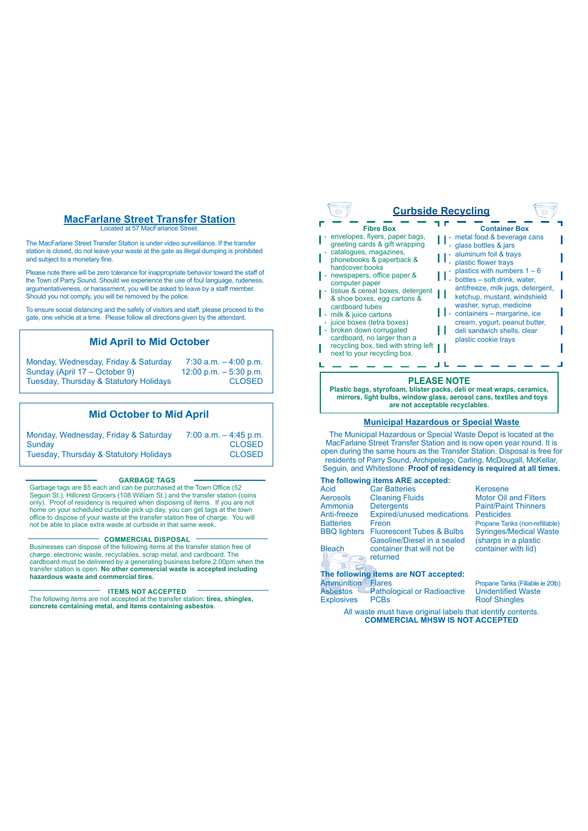# **MacFarlane Street Transfer Station**

Located at 57 MacFarlance Street

The MacFarlane Street Transfer Station is under video surveillance. If the transfer station is closed, do not leave your waste at the gate as illegal dumping is prohibited and subject to a monetary fine

Please note there will be zero tolerance for inappropriate behavior toward the staff of the Town of Parry Sound. Should we experience the use of foul language, rudeness, are form of that, goodinal criteria the experience are deeper to the hardward properties. Should you not comply, you will be removed by the police.

To ensure social distancing and the safety of visitors and staff, please proceed to the gate, one vehicle at a time. Please follow all directions given by the attendant.

# **Mid April to Mid October**

| Monday, Wednesday, Friday & Saturday   | 7:30 a.m. $-$ 4:00 p.m.   |
|----------------------------------------|---------------------------|
| Sunday (April 17 – October 9)          | $12:00$ p.m. $-5:30$ p.m. |
| Tuesday, Thursday & Statutory Holidays | <b>CLOSED</b>             |

# **Mid October to Mid April**

| Monday, Wednesday, Friday & Saturday   | $7:00$ a.m. $-4:45$ p.m. |
|----------------------------------------|--------------------------|
| Sundav                                 | <b>CLOSED</b>            |
| Tuesday, Thursday & Statutory Holidays | <b>CLOSED</b>            |

#### **GARBAGE TAGS**

Garbage tags are \$5 each and can be purchased at the Town Office (52) Seguin St.), Hillcrest Grocers (108 William St.) and the transfer station (coins<br>only). Proof of residency is required when disposing of items. If you are not Empty. These encounting to required throm disposing of hemiciting government of the town office to dispose of your waste at the transfer station free of charge. You will not be able to place extra waste at curbside in that same week.

#### **COMMERCIAL DISPOSAL**

Businesses can dispose of the following items at the transfer station free of<br>charge: electronic waste, recyclables, scrap metal, and cardboard. The cardboard must be delivered by a generating business before 2:00pm when the transfer station is open. **No other commercial waste is accepted including hazardous waste and commercial tires.**

#### **ITEMS NOT ACCEPTED**

The following items are not accepted at the transfer station: tires, shingles, **concrete containing metal, and items containing asbestos**.

|                                                                                                                                                                                                                                                                                                                                                                                                                                                                                          | <b>Curbside Recycling</b>                                                                                                                                                                                                                                                                                                                                                                                           |
|------------------------------------------------------------------------------------------------------------------------------------------------------------------------------------------------------------------------------------------------------------------------------------------------------------------------------------------------------------------------------------------------------------------------------------------------------------------------------------------|---------------------------------------------------------------------------------------------------------------------------------------------------------------------------------------------------------------------------------------------------------------------------------------------------------------------------------------------------------------------------------------------------------------------|
| <b>Fibre Box</b><br>envelopes, flyers, paper bags,<br>greeting cards & gift wrapping<br>catalogues, magazines,<br>phonebooks & paperback &<br>hardcover books<br>newspapers, office paper &<br>computer paper<br>tissue & cereal boxes, detergent<br>& shoe boxes, egg cartons &<br>cardboard tubes<br>milk & juice cartons<br>juice boxes (tetra boxes)<br>broken down corrugated<br>cardboard, no larger than a<br>recycling box, tied with string left<br>next to your recycling box. | <b>Container Box</b><br>metal food & beverage cans<br>glass bottles & jars<br>aluminum foil & trays<br>plastic flower trays<br>plastics with numbers $1 - 6$<br>bottles – soft drink, water,<br>antifreeze, milk jugs, detergent,<br>ketchup, mustard, windshield<br>washer, syrup, medicine<br>containers - margarine, ice<br>cream, yogurt, peanut butter,<br>deli sandwich shells, clear<br>plastic cookie trays |
|                                                                                                                                                                                                                                                                                                                                                                                                                                                                                          | PLEASE NOTE                                                                                                                                                                                                                                                                                                                                                                                                         |

 $\iff$ 

**PLEASE NOTE Plastic bags, styrofoam, blister packs, deli or meat wraps, ceramics, mirrors, light bulbs, window glass, aerosol cans, textiles and toys are not acceptable recyclables.**

#### **Municipal Hazardous or Special Waste**

The Municipal Hazardous or Special Waste Depot is located at the MacFarlane Street Transfer Station and is now open year round. It is open during the same hours as the Transfer Station. Disposal is free for The Contract of Parry Sound, Archipelago, Carling, McDougall, McKellar, Sequin, and Whitestone. Proof of residency is required at all times.

#### **The following items ARE accepted:**

 $\overline{\left\langle \right\rangle }$ 

| Acid                                                           | <b>Car Batteries</b>                                                | Kerosene                                                                          |
|----------------------------------------------------------------|---------------------------------------------------------------------|-----------------------------------------------------------------------------------|
| <b>Aerosols</b>                                                | <b>Cleaning Fluids</b>                                              | <b>Motor Oil and Filters</b>                                                      |
| Ammonia                                                        | <b>Detergents</b>                                                   | <b>Paint/Paint Thinners</b>                                                       |
| Anti-freeze                                                    | <b>Expired/unused medications</b>                                   | <b>Pesticides</b>                                                                 |
| <b>Batteries</b>                                               | Freon                                                               | Propane Tanks (non-refillable)                                                    |
| <b>BBQ</b> lighters                                            | <b>Fluorescent Tubes &amp; Bulbs</b><br>Gasoline/Diesel in a sealed | <b>Syringes/Medical Waste</b><br>(sharps in a plastic                             |
| <b>Bleach</b>                                                  | container that will not be<br>returned                              | container with lid)                                                               |
|                                                                |                                                                     |                                                                                   |
|                                                                | The following items are NOT accepted:                               |                                                                                   |
| $\Lambda$ and another state and $\Lambda$ . The same $\Lambda$ |                                                                     | <b>Product Section 1999, 1999, 1999, 1999, 1999, 1999, 1999, 1999, 1999, 1999</b> |

# Ammunition Flares 30URSD Propane Tanks (Fillable ie 20lb)<br>Asbestos Pathological or Radioactive Unidentified Waste

**Pathological or Radioactive**<br>PCBs Explosives PCBs (Explosives PCBs)

> All waste must have original labels that identify contents. **COMMERCIAL MHSW IS NOT ACCEPTED**